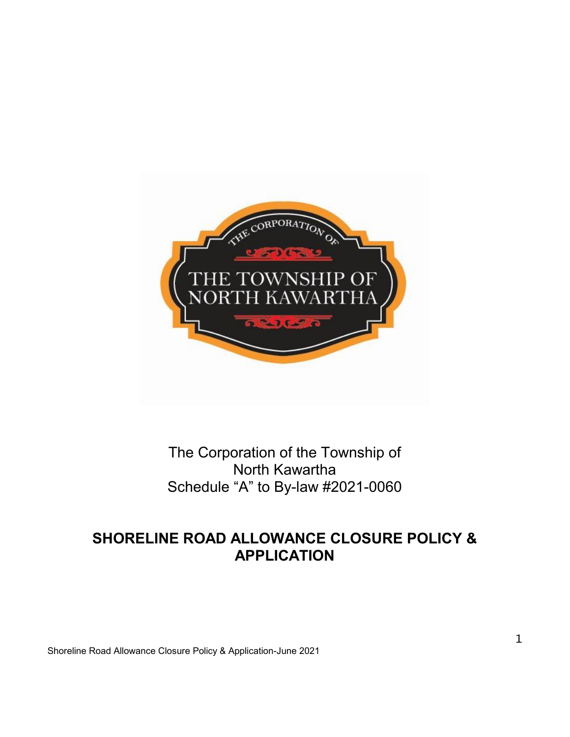

## The Corporation of the Township of North Kawartha Schedule "A" to By-law #2021-0060

# **SHORELINE ROAD ALLOWANCE CLOSURE POLICY & APPLICATION**

Shoreline Road Allowance Closure Policy & Application-June 2021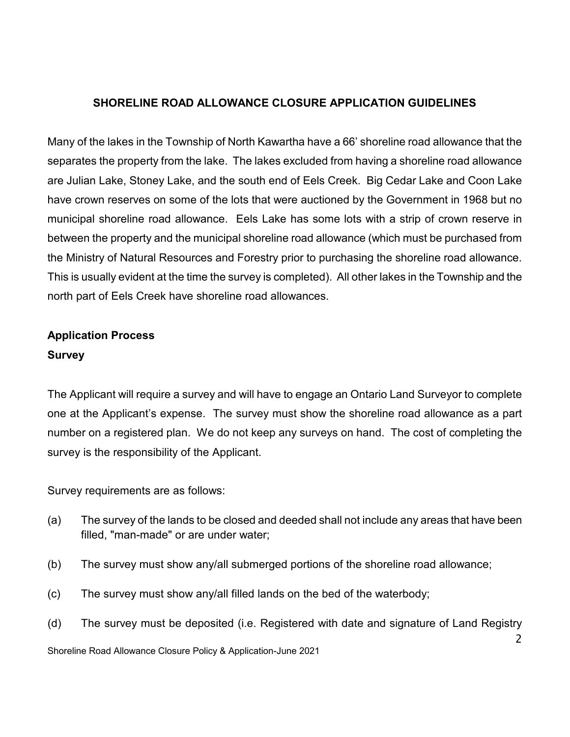#### **SHORELINE ROAD ALLOWANCE CLOSURE APPLICATION GUIDELINES**

Many of the lakes in the Township of North Kawartha have a 66' shoreline road allowance that the separates the property from the lake. The lakes excluded from having a shoreline road allowance are Julian Lake, Stoney Lake, and the south end of Eels Creek. Big Cedar Lake and Coon Lake have crown reserves on some of the lots that were auctioned by the Government in 1968 but no municipal shoreline road allowance. Eels Lake has some lots with a strip of crown reserve in between the property and the municipal shoreline road allowance (which must be purchased from the Ministry of Natural Resources and Forestry prior to purchasing the shoreline road allowance. This is usually evident at the time the survey is completed). All other lakes in the Township and the north part of Eels Creek have shoreline road allowances.

## **Application Process Survey**

The Applicant will require a survey and will have to engage an Ontario Land Surveyor to complete one at the Applicant's expense. The survey must show the shoreline road allowance as a part number on a registered plan. We do not keep any surveys on hand. The cost of completing the survey is the responsibility of the Applicant.

Survey requirements are as follows:

- (a) The survey of the lands to be closed and deeded shall not include any areas that have been filled, "man-made" or are under water;
- (b) The survey must show any/all submerged portions of the shoreline road allowance;
- (c) The survey must show any/all filled lands on the bed of the waterbody;
- (d) The survey must be deposited (i.e. Registered with date and signature of Land Registry

 $\mathcal{P}$ 

Shoreline Road Allowance Closure Policy & Application-June 2021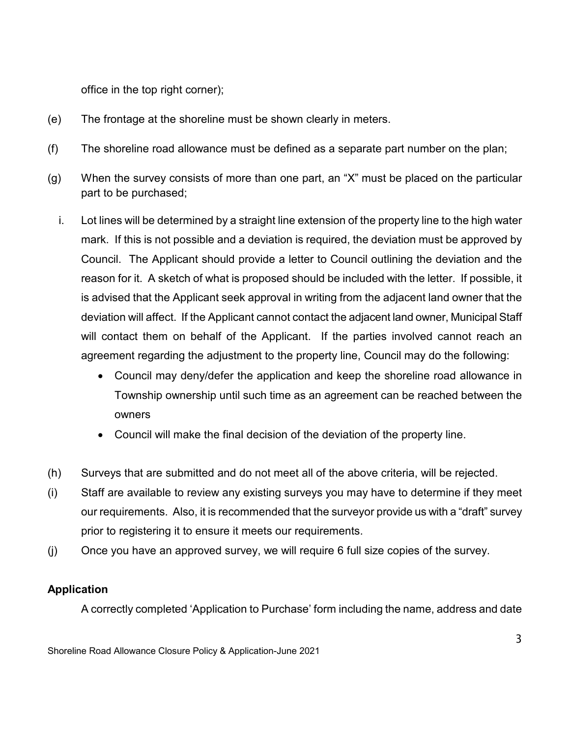office in the top right corner);

- (e) The frontage at the shoreline must be shown clearly in meters.
- (f) The shoreline road allowance must be defined as a separate part number on the plan;
- (g) When the survey consists of more than one part, an "X" must be placed on the particular part to be purchased;
	- i. Lot lines will be determined by a straight line extension of the property line to the high water mark. If this is not possible and a deviation is required, the deviation must be approved by Council. The Applicant should provide a letter to Council outlining the deviation and the reason for it. A sketch of what is proposed should be included with the letter. If possible, it is advised that the Applicant seek approval in writing from the adjacent land owner that the deviation will affect. If the Applicant cannot contact the adjacent land owner, Municipal Staff will contact them on behalf of the Applicant. If the parties involved cannot reach an agreement regarding the adjustment to the property line, Council may do the following:
		- Council may deny/defer the application and keep the shoreline road allowance in Township ownership until such time as an agreement can be reached between the owners
		- Council will make the final decision of the deviation of the property line.
- (h) Surveys that are submitted and do not meet all of the above criteria, will be rejected.
- (i) Staff are available to review any existing surveys you may have to determine if they meet our requirements. Also, it is recommended that the surveyor provide us with a "draft" survey prior to registering it to ensure it meets our requirements.
- (j) Once you have an approved survey, we will require 6 full size copies of the survey.

#### **Application**

A correctly completed 'Application to Purchase' form including the name, address and date

Shoreline Road Allowance Closure Policy & Application-June 2021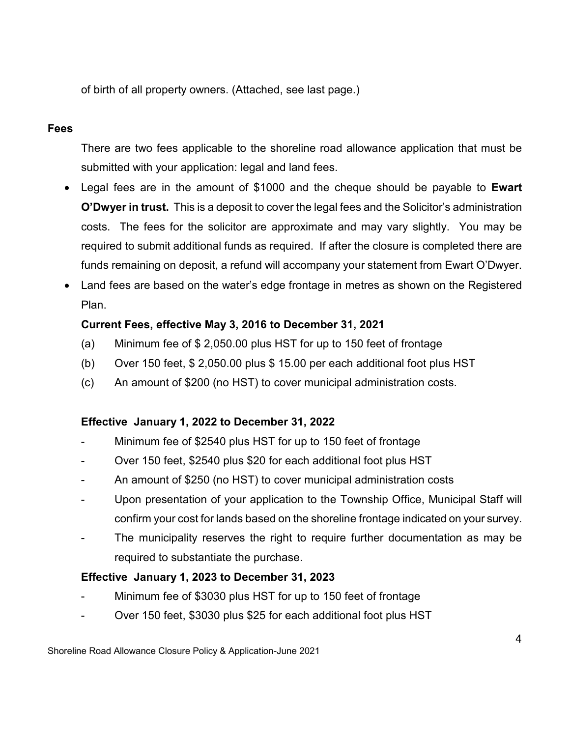of birth of all property owners. (Attached, see last page.)

### **Fees**

There are two fees applicable to the shoreline road allowance application that must be submitted with your application: legal and land fees.

- Legal fees are in the amount of \$1000 and the cheque should be payable to **Ewart O'Dwyer in trust.** This is a deposit to cover the legal fees and the Solicitor's administration costs. The fees for the solicitor are approximate and may vary slightly. You may be required to submit additional funds as required. If after the closure is completed there are funds remaining on deposit, a refund will accompany your statement from Ewart O'Dwyer.
- Land fees are based on the water's edge frontage in metres as shown on the Registered Plan.

### **Current Fees, effective May 3, 2016 to December 31, 2021**

- (a) Minimum fee of \$ 2,050.00 plus HST for up to 150 feet of frontage
- (b) Over 150 feet, \$ 2,050.00 plus \$ 15.00 per each additional foot plus HST
- (c) An amount of \$200 (no HST) to cover municipal administration costs.

### **Effective January 1, 2022 to December 31, 2022**

- Minimum fee of \$2540 plus HST for up to 150 feet of frontage
- Over 150 feet, \$2540 plus \$20 for each additional foot plus HST
- An amount of \$250 (no HST) to cover municipal administration costs
- Upon presentation of your application to the Township Office, Municipal Staff will confirm your cost for lands based on the shoreline frontage indicated on your survey.
- The municipality reserves the right to require further documentation as may be required to substantiate the purchase.

#### **Effective January 1, 2023 to December 31, 2023**

- Minimum fee of \$3030 plus HST for up to 150 feet of frontage
- Over 150 feet, \$3030 plus \$25 for each additional foot plus HST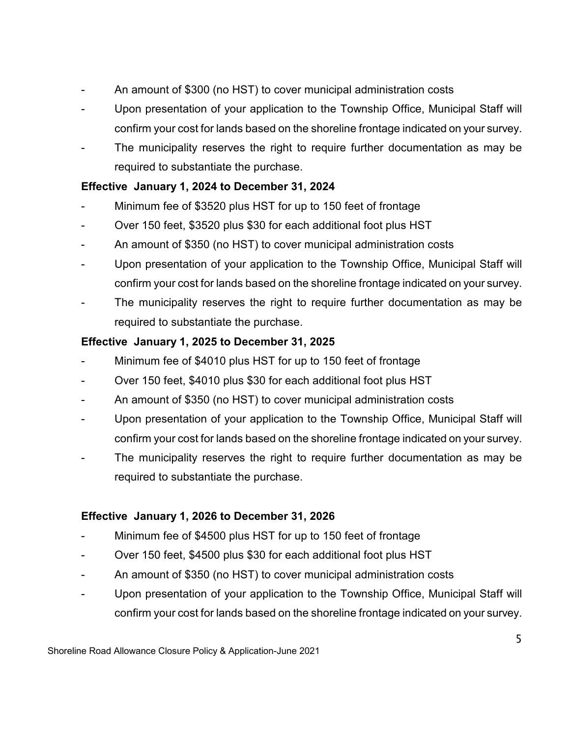- An amount of \$300 (no HST) to cover municipal administration costs
- Upon presentation of your application to the Township Office, Municipal Staff will confirm your cost for lands based on the shoreline frontage indicated on your survey.
- The municipality reserves the right to require further documentation as may be required to substantiate the purchase.

## **Effective January 1, 2024 to December 31, 2024**

- Minimum fee of \$3520 plus HST for up to 150 feet of frontage
- Over 150 feet, \$3520 plus \$30 for each additional foot plus HST
- An amount of \$350 (no HST) to cover municipal administration costs
- Upon presentation of your application to the Township Office, Municipal Staff will confirm your cost for lands based on the shoreline frontage indicated on your survey.
- The municipality reserves the right to require further documentation as may be required to substantiate the purchase.

## **Effective January 1, 2025 to December 31, 2025**

- Minimum fee of \$4010 plus HST for up to 150 feet of frontage
- Over 150 feet, \$4010 plus \$30 for each additional foot plus HST
- An amount of \$350 (no HST) to cover municipal administration costs
- Upon presentation of your application to the Township Office, Municipal Staff will confirm your cost for lands based on the shoreline frontage indicated on your survey.
- The municipality reserves the right to require further documentation as may be required to substantiate the purchase.

## **Effective January 1, 2026 to December 31, 2026**

- Minimum fee of \$4500 plus HST for up to 150 feet of frontage
- Over 150 feet, \$4500 plus \$30 for each additional foot plus HST
- An amount of \$350 (no HST) to cover municipal administration costs
- Upon presentation of your application to the Township Office, Municipal Staff will confirm your cost for lands based on the shoreline frontage indicated on your survey.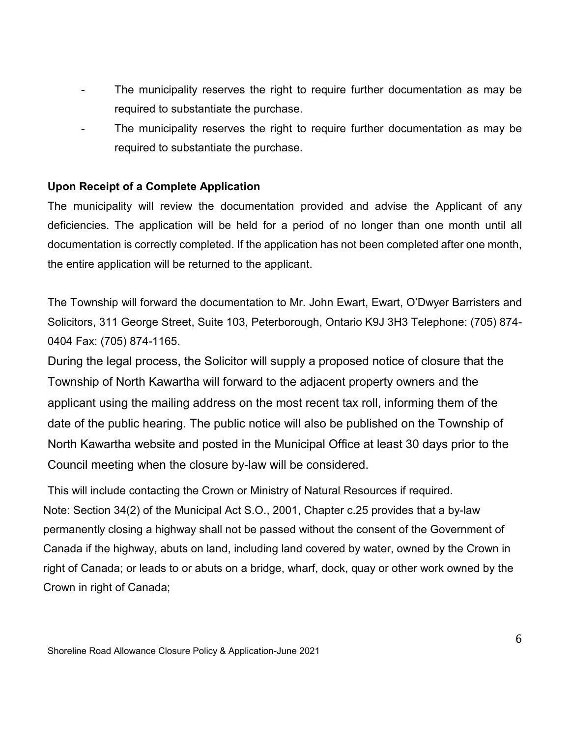- The municipality reserves the right to require further documentation as may be required to substantiate the purchase.
- The municipality reserves the right to require further documentation as may be required to substantiate the purchase.

#### **Upon Receipt of a Complete Application**

The municipality will review the documentation provided and advise the Applicant of any deficiencies. The application will be held for a period of no longer than one month until all documentation is correctly completed. If the application has not been completed after one month, the entire application will be returned to the applicant.

The Township will forward the documentation to Mr. John Ewart, Ewart, O'Dwyer Barristers and Solicitors, 311 George Street, Suite 103, Peterborough, Ontario K9J 3H3 Telephone: (705) 874- 0404 Fax: (705) 874-1165.

During the legal process, the Solicitor will supply a proposed notice of closure that the Township of North Kawartha will forward to the adjacent property owners and the applicant using the mailing address on the most recent tax roll, informing them of the date of the public hearing. The public notice will also be published on the Township of North Kawartha website and posted in the Municipal Office at least 30 days prior to the Council meeting when the closure by-law will be considered.

This will include contacting the Crown or Ministry of Natural Resources if required. Note: Section 34(2) of the Municipal Act S.O., 2001, Chapter c.25 provides that a by-law permanently closing a highway shall not be passed without the consent of the Government of Canada if the highway, abuts on land, including land covered by water, owned by the Crown in right of Canada; or leads to or abuts on a bridge, wharf, dock, quay or other work owned by the Crown in right of Canada;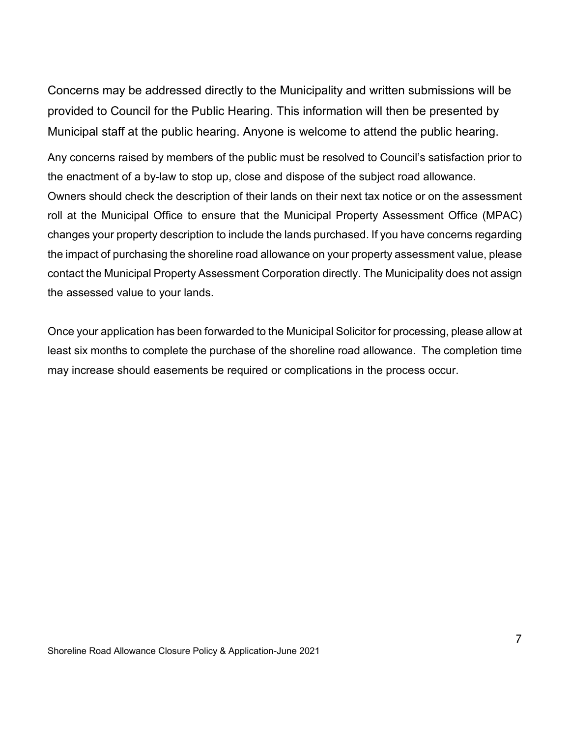Concerns may be addressed directly to the Municipality and written submissions will be provided to Council for the Public Hearing. This information will then be presented by Municipal staff at the public hearing. Anyone is welcome to attend the public hearing.

Any concerns raised by members of the public must be resolved to Council's satisfaction prior to the enactment of a by-law to stop up, close and dispose of the subject road allowance. Owners should check the description of their lands on their next tax notice or on the assessment roll at the Municipal Office to ensure that the Municipal Property Assessment Office (MPAC) changes your property description to include the lands purchased. If you have concerns regarding the impact of purchasing the shoreline road allowance on your property assessment value, please contact the Municipal Property Assessment Corporation directly. The Municipality does not assign the assessed value to your lands.

Once your application has been forwarded to the Municipal Solicitor for processing, please allow at least six months to complete the purchase of the shoreline road allowance. The completion time may increase should easements be required or complications in the process occur.